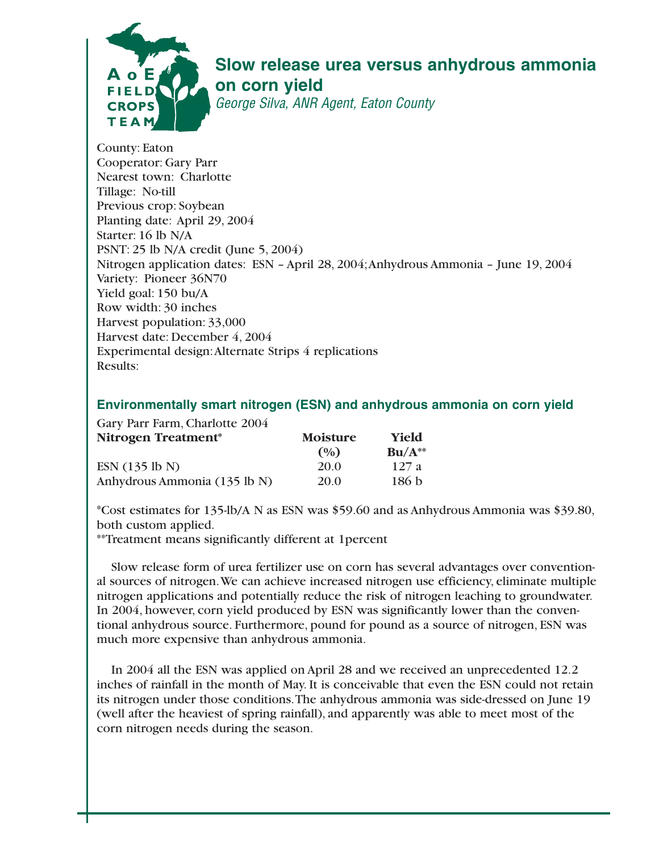

## **Slow release urea versus anhydrous ammonia on corn yield**

George Silva, ANR Agent, Eaton County

County: Eaton Cooperator: Gary Parr Nearest town: Charlotte Tillage: No-till Previous crop: Soybean Planting date: April 29, 2004 Starter: 16 lb N/A PSNT: 25 lb N/A credit (June 5, 2004) Nitrogen application dates: ESN – April 28, 2004;Anhydrous Ammonia – June 19, 2004 Variety: Pioneer 36N70 Yield goal: 150 bu/A Row width: 30 inches Harvest population: 33,000 Harvest date: December 4, 2004 Experimental design:Alternate Strips 4 replications Results:

## **Environmentally smart nitrogen (ESN) and anhydrous ammonia on corn yield**

| Gary Parr Farm, Charlotte 2004 |                 |                  |
|--------------------------------|-----------------|------------------|
| Nitrogen Treatment*            | <b>Moisture</b> | Yield            |
|                                | (0/0)           | $Bu/A**$         |
| ESN (135 lb N)                 | 20.0            | 127a             |
| Anhydrous Ammonia (135 lb N)   | 20.0            | 186 <sub>b</sub> |

\*Cost estimates for 135-lb/A N as ESN was \$59.60 and as Anhydrous Ammonia was \$39.80, both custom applied.

\*\*Treatment means significantly different at 1percent

Slow release form of urea fertilizer use on corn has several advantages over conventional sources of nitrogen.We can achieve increased nitrogen use efficiency, eliminate multiple nitrogen applications and potentially reduce the risk of nitrogen leaching to groundwater. In 2004, however, corn yield produced by ESN was significantly lower than the conventional anhydrous source. Furthermore, pound for pound as a source of nitrogen, ESN was much more expensive than anhydrous ammonia.

In 2004 all the ESN was applied on April 28 and we received an unprecedented 12.2 inches of rainfall in the month of May. It is conceivable that even the ESN could not retain its nitrogen under those conditions.The anhydrous ammonia was side-dressed on June 19 (well after the heaviest of spring rainfall), and apparently was able to meet most of the corn nitrogen needs during the season.